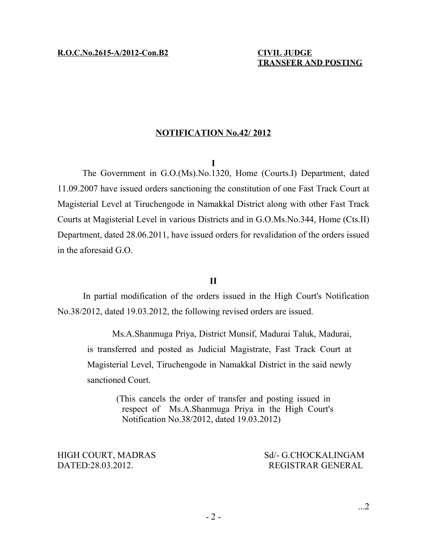#### **NOTIFICATION No.42/ 2012**

#### **I**

The Government in G.O.(Ms).No.1320, Home (Courts.I) Department, dated 11.09.2007 have issued orders sanctioning the constitution of one Fast Track Court at Magisterial Level at Tiruchengode in Namakkal District along with other Fast Track Courts at Magisterial Level in various Districts and in G.O.Ms.No.344, Home (Cts.II) Department, dated 28.06.2011, have issued orders for revalidation of the orders issued in the aforesaid G.O.

### **II**

In partial modification of the orders issued in the High Court's Notification No.38/2012, dated 19.03.2012, the following revised orders are issued.

Ms.A.Shanmuga Priya, District Munsif, Madurai Taluk, Madurai, is transferred and posted as Judicial Magistrate, Fast Track Court at Magisterial Level, Tiruchengode in Namakkal District in the said newly sanctioned Court.

> (This cancels the order of transfer and posting issued in respect of Ms.A.Shanmuga Priya in the High Court's Notification No.38/2012, dated 19.03.2012)

HIGH COURT, MADRAS Sd/- G.CHOCKALINGAM DATED:28.03.2012. REGISTRAR GENERAL